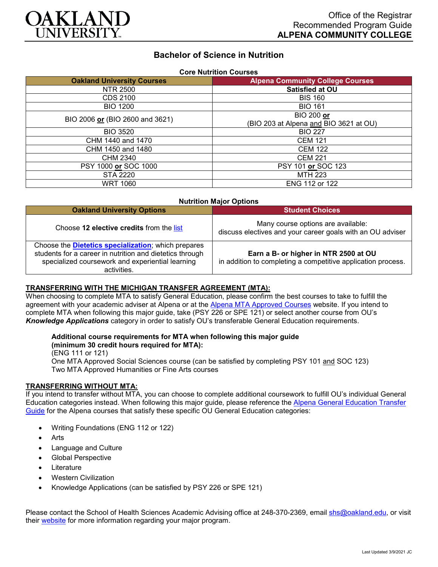

# **Bachelor of Science in Nutrition**

| <b>Core Nutrition Courses</b>     |                                         |
|-----------------------------------|-----------------------------------------|
| <b>Oakland University Courses</b> | <b>Alpena Community College Courses</b> |
| NTR 2500                          | Satisfied at OU                         |
| CDS 2100                          | <b>BIS 160</b>                          |
| <b>BIO 1200</b>                   | <b>BIO 161</b>                          |
| BIO 2006 or (BIO 2600 and 3621)   | <b>BIO 200 or</b>                       |
|                                   | (BIO 203 at Alpena and BIO 3621 at OU)  |
| <b>BIO 3520</b>                   | <b>BIO 227</b>                          |
| CHM 1440 and 1470                 | <b>CEM 121</b>                          |
| CHM 1450 and 1480                 | <b>CEM 122</b>                          |
| CHM 2340                          | <b>CEM 221</b>                          |
| PSY 1000 or SOC 1000              | PSY 101 or SOC 123                      |
| STA 2220                          | <b>MTH 223</b>                          |
| <b>WRT 1060</b>                   | ENG 112 or 122                          |

| <b>Nutrition Major Options</b>                                                                                                                                                             |                                                                                                       |
|--------------------------------------------------------------------------------------------------------------------------------------------------------------------------------------------|-------------------------------------------------------------------------------------------------------|
| <b>Oakland University Options</b>                                                                                                                                                          | <b>Student Choices</b>                                                                                |
| Choose 12 elective credits from the list                                                                                                                                                   | Many course options are available:<br>discuss electives and your career goals with an OU adviser      |
| Choose the <b>Dietetics specialization</b> ; which prepares<br>students for a career in nutrition and dietetics through<br>specialized coursework and experiential learning<br>activities. | Earn a B- or higher in NTR 2500 at OU<br>in addition to completing a competitive application process. |

#### **TRANSFERRING WITH THE MICHIGAN TRANSFER AGREEMENT (MTA):**

When choosing to complete MTA to satisfy General Education, please confirm the best courses to take to fulfill the agreement with your academic adviser at Alpena or at the [Alpena MTA Approved Courses](https://discover.alpenacc.edu/admissions/current_students/MTA.php) website. If you intend to complete MTA when following this major guide, take (PSY 226 or SPE 121) or select another course from OU's *Knowledge Applications* category in order to satisfy OU's transferable General Education requirements.

# **Additional course requirements for MTA when following this major guide**

**(minimum 30 credit hours required for MTA):**

(ENG 111 or 121) One MTA Approved Social Sciences course (can be satisfied by completing PSY 101 and SOC 123) Two MTA Approved Humanities or Fine Arts courses

#### **TRANSFERRING WITHOUT MTA:**

If you intend to transfer without MTA, you can choose to complete additional coursework to fulfill OU's individual General Education categories instead. When following this major guide, please reference the [Alpena General Education Transfer](https://www.oakland.edu/Assets/Oakland/program-guides/alpena-community-college/university-general-education-requirements/Alpena%20Gen%20Ed.pdf)  [Guide](https://www.oakland.edu/Assets/Oakland/program-guides/alpena-community-college/university-general-education-requirements/Alpena%20Gen%20Ed.pdf) for the Alpena courses that satisfy these specific OU General Education categories:

- Writing Foundations (ENG 112 or 122)
- **Arts**
- Language and Culture
- Global Perspective
- **Literature**
- Western Civilization
- Knowledge Applications (can be satisfied by PSY 226 or SPE 121)

Please contact the School of Health Sciences Academic Advising office at 248-370-2369, email [shs@oakland.edu,](mailto:shs@oakland.edu) or visit their [website](http://www.oakland.edu/shs/advising) for more information regarding your major program.